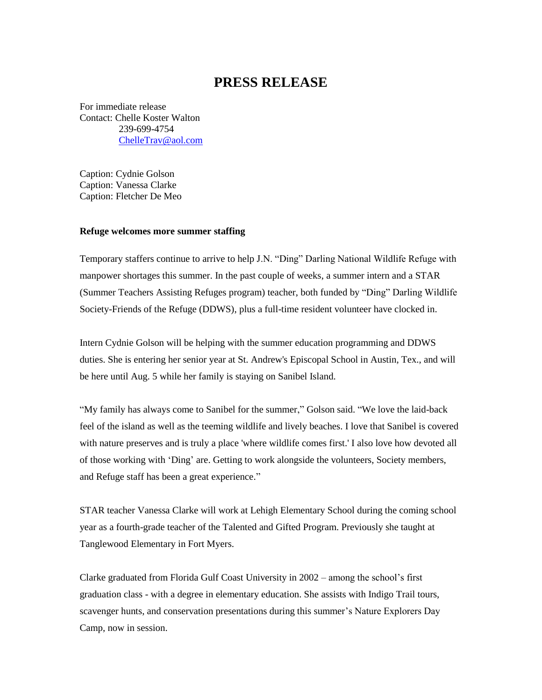## **PRESS RELEASE**

For immediate release Contact: Chelle Koster Walton 239-699-4754 [ChelleTrav@aol.com](mailto:ChelleTrav@aol.com)

Caption: Cydnie Golson Caption: Vanessa Clarke Caption: Fletcher De Meo

## **Refuge welcomes more summer staffing**

Temporary staffers continue to arrive to help J.N. "Ding" Darling National Wildlife Refuge with manpower shortages this summer. In the past couple of weeks, a summer intern and a STAR (Summer Teachers Assisting Refuges program) teacher, both funded by "Ding" Darling Wildlife Society-Friends of the Refuge (DDWS), plus a full-time resident volunteer have clocked in.

Intern Cydnie Golson will be helping with the summer education programming and DDWS duties. She is entering her senior year at St. Andrew's Episcopal School in Austin, Tex., and will be here until Aug. 5 while her family is staying on Sanibel Island.

"My family has always come to Sanibel for the summer," Golson said. "We love the laid-back feel of the island as well as the teeming wildlife and lively beaches. I love that Sanibel is covered with nature preserves and is truly a place 'where wildlife comes first.' I also love how devoted all of those working with 'Ding' are. Getting to work alongside the volunteers, Society members, and Refuge staff has been a great experience."

STAR teacher Vanessa Clarke will work at Lehigh Elementary School during the coming school year as a fourth-grade teacher of the Talented and Gifted Program. Previously she taught at Tanglewood Elementary in Fort Myers.

Clarke graduated from Florida Gulf Coast University in 2002 – among the school's first graduation class - with a degree in elementary education. She assists with Indigo Trail tours, scavenger hunts, and conservation presentations during this summer's Nature Explorers Day Camp, now in session.